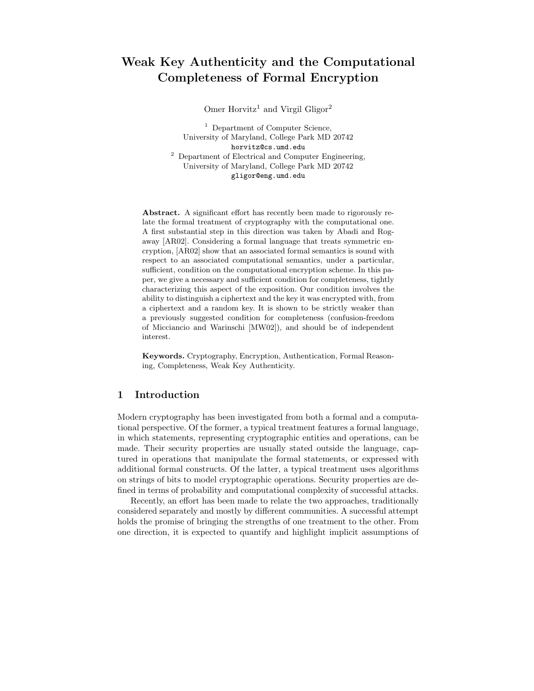# Weak Key Authenticity and the Computational Completeness of Formal Encryption

Omer Horvitz<sup>1</sup> and Virgil Gligor<sup>2</sup>

<sup>1</sup> Department of Computer Science, University of Maryland, College Park MD 20742 horvitz@cs.umd.edu <sup>2</sup> Department of Electrical and Computer Engineering, University of Maryland, College Park MD 20742 gligor@eng.umd.edu

Abstract. A significant effort has recently been made to rigorously relate the formal treatment of cryptography with the computational one. A first substantial step in this direction was taken by Abadi and Rogaway [AR02]. Considering a formal language that treats symmetric encryption, [AR02] show that an associated formal semantics is sound with respect to an associated computational semantics, under a particular, sufficient, condition on the computational encryption scheme. In this paper, we give a necessary and sufficient condition for completeness, tightly characterizing this aspect of the exposition. Our condition involves the ability to distinguish a ciphertext and the key it was encrypted with, from a ciphertext and a random key. It is shown to be strictly weaker than a previously suggested condition for completeness (confusion-freedom of Micciancio and Warinschi [MW02]), and should be of independent interest.

Keywords. Cryptography, Encryption, Authentication, Formal Reasoning, Completeness, Weak Key Authenticity.

### 1 Introduction

Modern cryptography has been investigated from both a formal and a computational perspective. Of the former, a typical treatment features a formal language, in which statements, representing cryptographic entities and operations, can be made. Their security properties are usually stated outside the language, captured in operations that manipulate the formal statements, or expressed with additional formal constructs. Of the latter, a typical treatment uses algorithms on strings of bits to model cryptographic operations. Security properties are defined in terms of probability and computational complexity of successful attacks.

Recently, an effort has been made to relate the two approaches, traditionally considered separately and mostly by different communities. A successful attempt holds the promise of bringing the strengths of one treatment to the other. From one direction, it is expected to quantify and highlight implicit assumptions of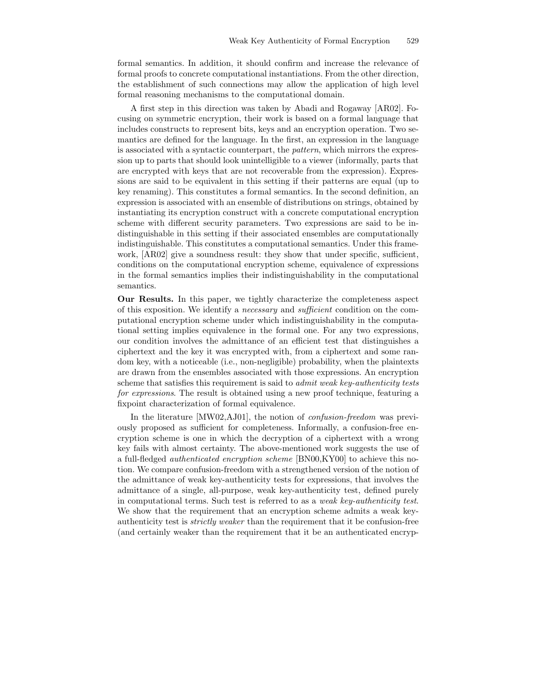formal semantics. In addition, it should confirm and increase the relevance of formal proofs to concrete computational instantiations. From the other direction, the establishment of such connections may allow the application of high level formal reasoning mechanisms to the computational domain.

A first step in this direction was taken by Abadi and Rogaway [AR02]. Focusing on symmetric encryption, their work is based on a formal language that includes constructs to represent bits, keys and an encryption operation. Two semantics are defined for the language. In the first, an expression in the language is associated with a syntactic counterpart, the pattern, which mirrors the expression up to parts that should look unintelligible to a viewer (informally, parts that are encrypted with keys that are not recoverable from the expression). Expressions are said to be equivalent in this setting if their patterns are equal (up to key renaming). This constitutes a formal semantics. In the second definition, an expression is associated with an ensemble of distributions on strings, obtained by instantiating its encryption construct with a concrete computational encryption scheme with different security parameters. Two expressions are said to be indistinguishable in this setting if their associated ensembles are computationally indistinguishable. This constitutes a computational semantics. Under this framework,  $[AR02]$  give a soundness result: they show that under specific, sufficient, conditions on the computational encryption scheme, equivalence of expressions in the formal semantics implies their indistinguishability in the computational semantics.

Our Results. In this paper, we tightly characterize the completeness aspect of this exposition. We identify a necessary and sufficient condition on the computational encryption scheme under which indistinguishability in the computational setting implies equivalence in the formal one. For any two expressions, our condition involves the admittance of an efficient test that distinguishes a ciphertext and the key it was encrypted with, from a ciphertext and some random key, with a noticeable (i.e., non-negligible) probability, when the plaintexts are drawn from the ensembles associated with those expressions. An encryption scheme that satisfies this requirement is said to *admit weak key-authenticity tests* for expressions. The result is obtained using a new proof technique, featuring a fixpoint characterization of formal equivalence.

In the literature [MW02,AJ01], the notion of *confusion-freedom* was previously proposed as sufficient for completeness. Informally, a confusion-free encryption scheme is one in which the decryption of a ciphertext with a wrong key fails with almost certainty. The above-mentioned work suggests the use of a full-fledged authenticated encryption scheme [BN00,KY00] to achieve this notion. We compare confusion-freedom with a strengthened version of the notion of the admittance of weak key-authenticity tests for expressions, that involves the admittance of a single, all-purpose, weak key-authenticity test, defined purely in computational terms. Such test is referred to as a weak key-authenticity test. We show that the requirement that an encryption scheme admits a weak keyauthenticity test is strictly weaker than the requirement that it be confusion-free (and certainly weaker than the requirement that it be an authenticated encryp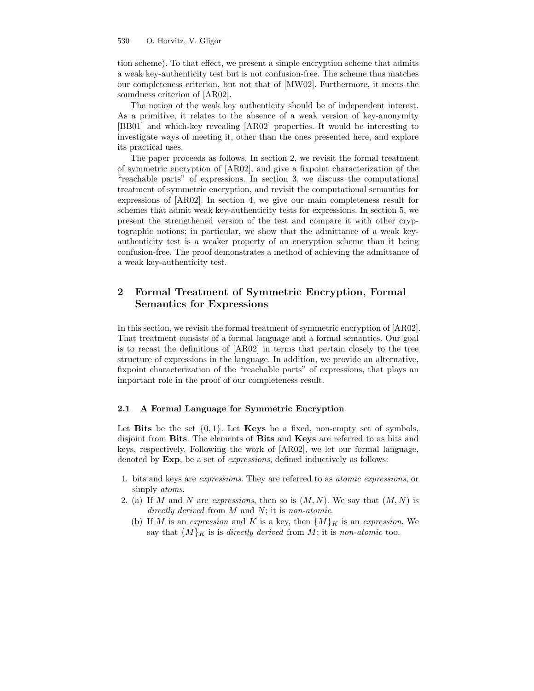tion scheme). To that effect, we present a simple encryption scheme that admits a weak key-authenticity test but is not confusion-free. The scheme thus matches our completeness criterion, but not that of [MW02]. Furthermore, it meets the soundness criterion of [AR02].

The notion of the weak key authenticity should be of independent interest. As a primitive, it relates to the absence of a weak version of key-anonymity [BB01] and which-key revealing [AR02] properties. It would be interesting to investigate ways of meeting it, other than the ones presented here, and explore its practical uses.

The paper proceeds as follows. In section 2, we revisit the formal treatment of symmetric encryption of [AR02], and give a fixpoint characterization of the "reachable parts" of expressions. In section 3, we discuss the computational treatment of symmetric encryption, and revisit the computational semantics for expressions of [AR02]. In section 4, we give our main completeness result for schemes that admit weak key-authenticity tests for expressions. In section 5, we present the strengthened version of the test and compare it with other cryptographic notions; in particular, we show that the admittance of a weak keyauthenticity test is a weaker property of an encryption scheme than it being confusion-free. The proof demonstrates a method of achieving the admittance of a weak key-authenticity test.

# 2 Formal Treatment of Symmetric Encryption, Formal Semantics for Expressions

In this section, we revisit the formal treatment of symmetric encryption of [AR02]. That treatment consists of a formal language and a formal semantics. Our goal is to recast the definitions of [AR02] in terms that pertain closely to the tree structure of expressions in the language. In addition, we provide an alternative, fixpoint characterization of the "reachable parts" of expressions, that plays an important role in the proof of our completeness result.

#### 2.1 A Formal Language for Symmetric Encryption

Let Bits be the set  $\{0, 1\}$ . Let Keys be a fixed, non-empty set of symbols, disjoint from Bits. The elements of Bits and Keys are referred to as bits and keys, respectively. Following the work of [AR02], we let our formal language, denoted by **Exp**, be a set of *expressions*, defined inductively as follows:

- 1. bits and keys are expressions. They are referred to as atomic expressions, or simply *atoms*.
- 2. (a) If M and N are expressions, then so is  $(M, N)$ . We say that  $(M, N)$  is directly derived from  $M$  and  $N$ ; it is non-atomic.
	- (b) If M is an expression and K is a key, then  $\{M\}_K$  is an expression. We say that  $\{M\}_K$  is is directly derived from M; it is non-atomic too.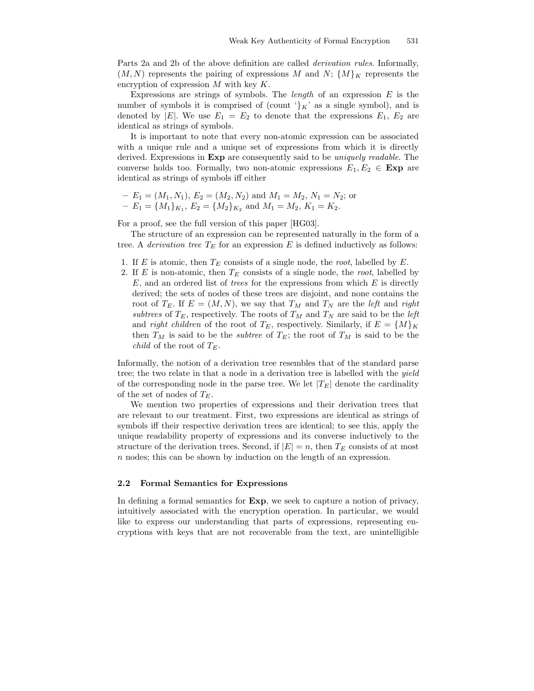Parts 2a and 2b of the above definition are called derivation rules. Informally,  $(M, N)$  represents the pairing of expressions M and N;  $\{M\}_K$  represents the encryption of expression  $M$  with key  $K$ .

Expressions are strings of symbols. The *length* of an expression  $E$  is the number of symbols it is comprised of (count  $\chi'_{K}$  as a single symbol), and is denoted by |E|. We use  $E_1 = E_2$  to denote that the expressions  $E_1, E_2$  are identical as strings of symbols.

It is important to note that every non-atomic expression can be associated with a unique rule and a unique set of expressions from which it is directly derived. Expressions in **Exp** are consequently said to be *uniquely readable*. The converse holds too. Formally, two non-atomic expressions  $E_1, E_2 \in \text{Exp}$  are identical as strings of symbols iff either

- 
$$
E_1 = (M_1, N_1), E_2 = (M_2, N_2)
$$
 and  $M_1 = M_2, N_1 = N_2$ ; or  
-  $E_1 = \{M_1\}_{K_1}, E_2 = \{M_2\}_{K_2}$  and  $M_1 = M_2, K_1 = K_2$ .

For a proof, see the full version of this paper [HG03].

The structure of an expression can be represented naturally in the form of a tree. A *derivation tree*  $T_E$  for an expression  $E$  is defined inductively as follows:

- 1. If E is atomic, then  $T_E$  consists of a single node, the *root*, labelled by E.
- 2. If E is non-atomic, then  $T_E$  consists of a single node, the root, labelled by  $E$ , and an ordered list of trees for the expressions from which  $E$  is directly derived; the sets of nodes of these trees are disjoint, and none contains the root of  $T_E$ . If  $E = (M, N)$ , we say that  $T_M$  and  $T_N$  are the *left* and *right* subtrees of  $T_E$ , respectively. The roots of  $T_M$  and  $T_N$  are said to be the *left* and *right children* of the root of  $T_E$ , respectively. Similarly, if  $E = \{M\}_K$ then  $T_M$  is said to be the *subtree* of  $T_E$ ; the root of  $T_M$  is said to be the *child* of the root of  $T_E$ .

Informally, the notion of a derivation tree resembles that of the standard parse tree; the two relate in that a node in a derivation tree is labelled with the yield of the corresponding node in the parse tree. We let  $|T_E|$  denote the cardinality of the set of nodes of  $T_E$ .

We mention two properties of expressions and their derivation trees that are relevant to our treatment. First, two expressions are identical as strings of symbols iff their respective derivation trees are identical; to see this, apply the unique readability property of expressions and its converse inductively to the structure of the derivation trees. Second, if  $|E| = n$ , then  $T_E$  consists of at most n nodes; this can be shown by induction on the length of an expression.

#### 2.2 Formal Semantics for Expressions

In defining a formal semantics for Exp, we seek to capture a notion of privacy, intuitively associated with the encryption operation. In particular, we would like to express our understanding that parts of expressions, representing encryptions with keys that are not recoverable from the text, are unintelligible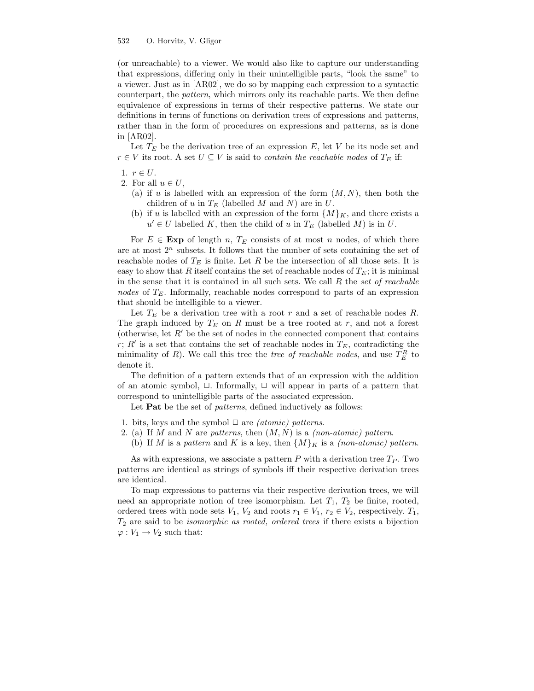(or unreachable) to a viewer. We would also like to capture our understanding that expressions, differing only in their unintelligible parts, "look the same" to a viewer. Just as in [AR02], we do so by mapping each expression to a syntactic counterpart, the pattern, which mirrors only its reachable parts. We then define equivalence of expressions in terms of their respective patterns. We state our definitions in terms of functions on derivation trees of expressions and patterns, rather than in the form of procedures on expressions and patterns, as is done in [AR02].

Let  $T_E$  be the derivation tree of an expression E, let V be its node set and  $r \in V$  its root. A set  $U \subseteq V$  is said to *contain the reachable nodes* of  $T_E$  if:

- 1.  $r \in U$ .
- 2. For all  $u \in U$ ,
	- (a) if u is labelled with an expression of the form  $(M, N)$ , then both the children of u in  $T_E$  (labelled M and N) are in U.
	- (b) if u is labelled with an expression of the form  $\{M\}_K$ , and there exists a  $u' \in U$  labelled K, then the child of u in  $T_E$  (labelled M) is in U.

For  $E \in \text{Exp}$  of length n,  $T_E$  consists of at most n nodes, of which there are at most  $2^n$  subsets. It follows that the number of sets containing the set of reachable nodes of  $T_E$  is finite. Let R be the intersection of all those sets. It is easy to show that R itself contains the set of reachable nodes of  $T_E$ ; it is minimal in the sense that it is contained in all such sets. We call  $R$  the set of reachable nodes of  $T_E$ . Informally, reachable nodes correspond to parts of an expression that should be intelligible to a viewer.

Let  $T_E$  be a derivation tree with a root r and a set of reachable nodes R. The graph induced by  $T_E$  on R must be a tree rooted at r, and not a forest (otherwise, let  $R'$  be the set of nodes in the connected component that contains r;  $R'$  is a set that contains the set of reachable nodes in  $T_E$ , contradicting the minimality of R). We call this tree the *tree of reachable nodes*, and use  $T_E^R$  to denote it.

The definition of a pattern extends that of an expression with the addition of an atomic symbol,  $\Box$ . Informally,  $\Box$  will appear in parts of a pattern that correspond to unintelligible parts of the associated expression.

Let **Pat** be the set of *patterns*, defined inductively as follows:

- 1. bits, keys and the symbol  $\Box$  are *(atomic) patterns*.
- 2. (a) If M and N are patterns, then  $(M, N)$  is a *(non-atomic)* pattern.
- (b) If M is a pattern and K is a key, then  $\{M\}_K$  is a *(non-atomic) pattern*.

As with expressions, we associate a pattern  $P$  with a derivation tree  $T_P$ . Two patterns are identical as strings of symbols iff their respective derivation trees are identical.

To map expressions to patterns via their respective derivation trees, we will need an appropriate notion of tree isomorphism. Let  $T_1$ ,  $T_2$  be finite, rooted, ordered trees with node sets  $V_1$ ,  $V_2$  and roots  $r_1 \in V_1$ ,  $r_2 \in V_2$ , respectively.  $T_1$ ,  $T_2$  are said to be *isomorphic as rooted, ordered trees* if there exists a bijection  $\varphi: V_1 \to V_2$  such that: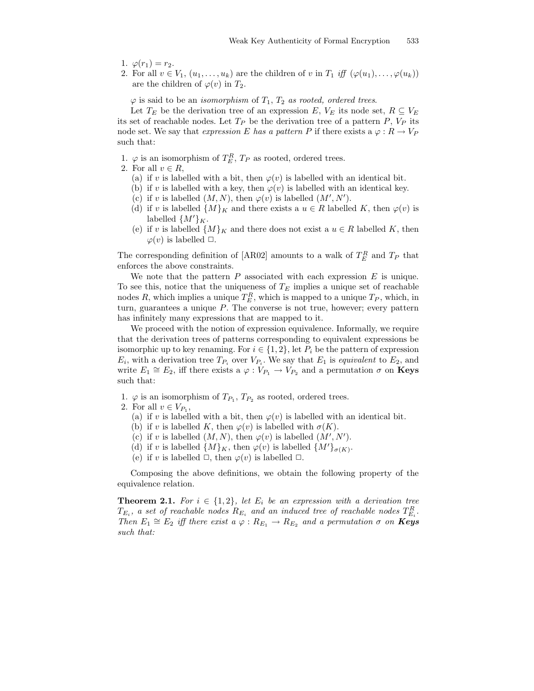- 1.  $\varphi(r_1) = r_2$ .
- 2. For all  $v \in V_1, (u_1, \ldots, u_k)$  are the children of v in  $T_1$  iff  $(\varphi(u_1), \ldots, \varphi(u_k))$ are the children of  $\varphi(v)$  in  $T_2$ .

 $\varphi$  is said to be an *isomorphism* of  $T_1$ ,  $T_2$  as rooted, ordered trees.

Let  $T_E$  be the derivation tree of an expression E,  $V_E$  its node set,  $R \subseteq V_E$ its set of reachable nodes. Let  $T_P$  be the derivation tree of a pattern P,  $V_P$  its node set. We say that expression E has a pattern P if there exists a  $\varphi: R \to V_P$ such that:

- 1.  $\varphi$  is an isomorphism of  $T_E^R$ ,  $T_P$  as rooted, ordered trees.
- 2. For all  $v \in R$ ,
	- (a) if v is labelled with a bit, then  $\varphi(v)$  is labelled with an identical bit.
	- (b) if v is labelled with a key, then  $\varphi(v)$  is labelled with an identical key.
	- (c) if v is labelled  $(M, N)$ , then  $\varphi(v)$  is labelled  $(M', N')$ .
	- (d) if v is labelled  $\{M\}_K$  and there exists a  $u \in R$  labelled K, then  $\varphi(v)$  is labelled  $\{M'\}_K$ .
	- (e) if v is labelled  $\{M\}_K$  and there does not exist a  $u \in R$  labelled K, then  $\varphi(v)$  is labelled  $\Box$ .

The corresponding definition of [AR02] amounts to a walk of  $T_E^R$  and  $T_P$  that enforces the above constraints.

We note that the pattern  $P$  associated with each expression  $E$  is unique. To see this, notice that the uniqueness of  $T_E$  implies a unique set of reachable nodes R, which implies a unique  $T_E^R$ , which is mapped to a unique  $T_P$ , which, in turn, guarantees a unique  $P$ . The converse is not true, however; every pattern has infinitely many expressions that are mapped to it.

We proceed with the notion of expression equivalence. Informally, we require that the derivation trees of patterns corresponding to equivalent expressions be isomorphic up to key renaming. For  $i \in \{1, 2\}$ , let  $P_i$  be the pattern of expression  $E_i$ , with a derivation tree  $T_{P_i}$  over  $V_{P_i}$ . We say that  $E_1$  is *equivalent* to  $E_2$ , and write  $E_1 \cong E_2$ , iff there exists a  $\varphi : V_{P_1} \to V_{P_2}$  and a permutation  $\sigma$  on **Keys** such that:

- 1.  $\varphi$  is an isomorphism of  $T_{P_1}$ ,  $T_{P_2}$  as rooted, ordered trees.
- 2. For all  $v \in V_{P_1}$ ,
	- (a) if v is labelled with a bit, then  $\varphi(v)$  is labelled with an identical bit.
	- (b) if v is labelled K, then  $\varphi(v)$  is labelled with  $\sigma(K)$ .
	- (c) if v is labelled  $(M, N)$ , then  $\varphi(v)$  is labelled  $(M', N')$ .
	- (d) if v is labelled  $\{M\}_K$ , then  $\varphi(v)$  is labelled  $\{M'\}_{\sigma(K)}$ .
	- (e) if v is labelled  $\Box$ , then  $\varphi(v)$  is labelled  $\Box$ .

Composing the above definitions, we obtain the following property of the equivalence relation.

**Theorem 2.1.** For  $i \in \{1,2\}$ , let  $E_i$  be an expression with a derivation tree  $T_{E_i}$ , a set of reachable nodes  $R_{E_i}$  and an induced tree of reachable nodes  $T_{E_i}^R$ . Then  $E_1 \cong E_2$  iff there exist  $a \varphi : R_{E_1} \to R_{E_2}$  and a permutation  $\sigma$  on  $\mathbf{Keys}$ such that: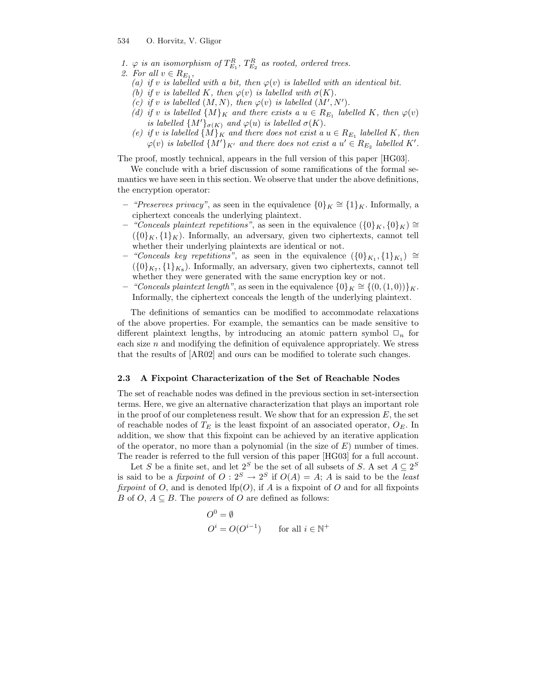- 1.  $\varphi$  is an isomorphism of  $T_{E_1}^R$ ,  $T_{E_2}^R$  as rooted, ordered trees.
- 2. For all  $v \in R_{E_1}$ ,
	- (a) if v is labelled with a bit, then  $\varphi(v)$  is labelled with an identical bit.
	- (b) if v is labelled K, then  $\varphi(v)$  is labelled with  $\sigma(K)$ .
	- (c) if v is labelled  $(M, N)$ , then  $\varphi(v)$  is labelled  $(M', N')$ .
	- (d) if v is labelled  $\{M\}_K$  and there exists a  $u \in R_{E_1}$  labelled K, then  $\varphi(v)$ is labelled  $\{M'\}_{\sigma(K)}$  and  $\varphi(u)$  is labelled  $\sigma(K)$ .
	- (e) if v is labelled  $\{M\}_K$  and there does not exist a  $u \in R_{E_1}$  labelled K, then  $\varphi(v)$  is labelled  $\{M'\}_{K'}$  and there does not exist a  $u' \in R_{E_2}$  labelled K'.

The proof, mostly technical, appears in the full version of this paper [HG03].

We conclude with a brief discussion of some ramifications of the formal semantics we have seen in this section. We observe that under the above definitions, the encryption operator:

- − "Preserves privacy", as seen in the equivalence  ${0}_K \cong {1}_K$ . Informally, a ciphertext conceals the underlying plaintext.
- "Conceals plaintext repetitions", as seen in the equivalence  $({0}_K, {0}_K)$  ≅  $({0}_K, {1}_K)$ . Informally, an adversary, given two ciphertexts, cannot tell whether their underlying plaintexts are identical or not.
- "Conceals key repetitions", as seen in the equivalence  $({0}_{K_1}, {1}_{K_1}) \cong$  $({0}_{K_7}, {1}_{K_8})$ . Informally, an adversary, given two ciphertexts, cannot tell whether they were generated with the same encryption key or not.
- − "Conceals plaintext length", as seen in the equivalence  $\{0\}_K \cong \{(0, (1, 0))\}_K$ . Informally, the ciphertext conceals the length of the underlying plaintext.

The definitions of semantics can be modified to accommodate relaxations of the above properties. For example, the semantics can be made sensitive to different plaintext lengths, by introducing an atomic pattern symbol  $\Box_n$  for each size  $n$  and modifying the definition of equivalence appropriately. We stress that the results of [AR02] and ours can be modified to tolerate such changes.

#### 2.3 A Fixpoint Characterization of the Set of Reachable Nodes

The set of reachable nodes was defined in the previous section in set-intersection terms. Here, we give an alternative characterization that plays an important role in the proof of our completeness result. We show that for an expression  $E$ , the set of reachable nodes of  $T_E$  is the least fixpoint of an associated operator,  $O_E$ . In addition, we show that this fixpoint can be achieved by an iterative application of the operator, no more than a polynomial (in the size of  $E$ ) number of times. The reader is referred to the full version of this paper [HG03] for a full account.

Let S be a finite set, and let  $2^S$  be the set of all subsets of S. A set  $A \subseteq 2^S$ is said to be a *fixpoint* of  $O: 2^S \to 2^S$  if  $O(A) = A$ ; A is said to be the *least* fixpoint of O, and is denoted lfp(O), if A is a fixpoint of O and for all fixpoints B of  $O, A \subseteq B$ . The *powers* of O are defined as follows:

$$
O^0 = \emptyset
$$
  

$$
O^i = O(O^{i-1}) \qquad \text{for all } i \in \mathbb{N}^+
$$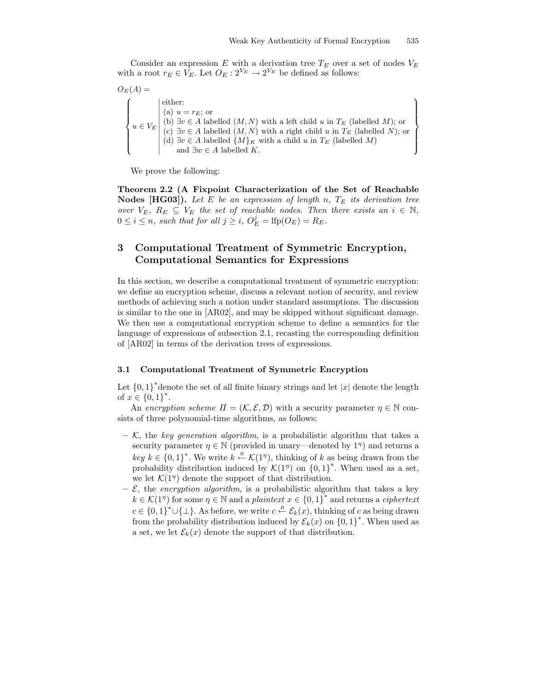$\mathcal{L}$  $\overline{\mathcal{L}}$ 

 $\int$ 

Consider an expression  $E$  with a derivation tree  $T_E$  over a set of nodes  $V_E$ with a root  $r_E \in V_E$ . Let  $O_E: 2^{V_E} \to 2^{V_E}$  be defined as follows:

 $O_E(A) =$  $\sqrt{ }$  $\int$  $\overline{\mathcal{L}}$  $u \in V_E$ **↑**  $\frac{1}{2}$ either: (a)  $u = r_E$ ; or (b)  $\exists v \in A$  labelled  $(M, N)$  with a left child u in  $T_E$  (labelled M); or (c)  $∃v ∈ A$  labelled  $(M, N)$  with a right child u in  $T_E$  (labelled N); or (d)  $\exists v \in A$  labelled  $\{M\}_K$  with a child u in  $T_E$  (labelled M) and  $\exists w \in A$  labelled K.

We prove the following:

Theorem 2.2 (A Fixpoint Characterization of the Set of Reachable **Nodes [HG03]).** Let E be an expression of length n,  $T_E$  its derivation tree over  $V_E$ ,  $R_E \subseteq V_E$  the set of reachable nodes. Then there exists an  $i \in \mathbb{N}$ ,  $0 \leq i \leq n$ , such that for all  $j \geq i$ ,  $O_E^j = \text{lfp}(O_E) = R_E$ .

## 3 Computational Treatment of Symmetric Encryption, Computational Semantics for Expressions

In this section, we describe a computational treatment of symmetric encryption: we define an encryption scheme, discuss a relevant notion of security, and review methods of achieving such a notion under standard assumptions. The discussion is similar to the one in [AR02], and may be skipped without significant damage. We then use a computational encryption scheme to define a semantics for the language of expressions of subsection 2.1, recasting the corresponding definition of [AR02] in terms of the derivation trees of expressions.

#### 3.1 Computational Treatment of Symmetric Encryption

Let  ${0, 1}^*$  denote the set of all finite binary strings and let  $|x|$  denote the length of  $x \in \{0,1\}^*$ .

An encryption scheme  $\Pi = (\mathcal{K}, \mathcal{E}, \mathcal{D})$  with a security parameter  $\eta \in \mathbb{N}$  consists of three polynomial-time algorithms, as follows:

- $-$  K, the key generation algorithm, is a probabilistic algorithm that takes a security parameter  $\eta \in \mathbb{N}$  (provided in unary—denoted by  $1^{\eta}$ ) and returns a  $key \; k \in \{0,1\}^*$ . We write  $k \stackrel{R}{\leftarrow} \mathcal{K}(1^{\eta})$ , thinking of k as being drawn from the probability distribution induced by  $\mathcal{K}(1^n)$  on  $\{0,1\}^*$ . When used as a set, we let  $\mathcal{K}(1^n)$  denote the support of that distribution.
- $-\mathcal{E}$ , the *encryption algorithm*, is a probabilistic algorithm that takes a key  $k \in \mathcal{K}(1^n)$  for some  $\eta \in \mathbb{N}$  and a plaintext  $x \in \{0,1\}^*$  and returns a ciphertext  $c \in \{0,1\}^* \cup \{\perp\}$ . As before, we write  $c \stackrel{R}{\leftarrow} \mathcal{E}_k(x)$ , thinking of c as being drawn from the probability distribution induced by  $\mathcal{E}_k(x)$  on  $\{0,1\}^*$ . When used as a set, we let  $\mathcal{E}_k(x)$  denote the support of that distribution.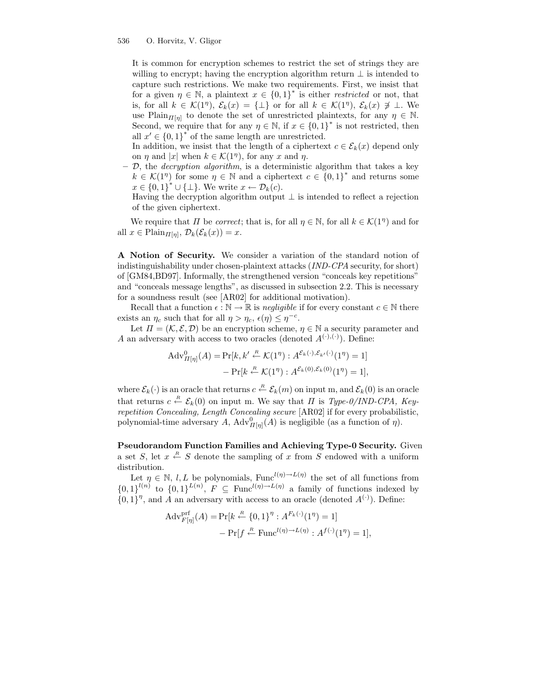It is common for encryption schemes to restrict the set of strings they are willing to encrypt; having the encryption algorithm return  $\perp$  is intended to capture such restrictions. We make two requirements. First, we insist that for a given  $\eta \in \mathbb{N}$ , a plaintext  $x \in \{0,1\}^*$  is either *restricted* or not, that is, for all  $k \in \mathcal{K}(1^n)$ ,  $\mathcal{E}_k(x) = {\perp}$  or for all  $k \in \mathcal{K}(1^n)$ ,  $\mathcal{E}_k(x) \not\supseteq \perp$ . We use Plain $\prod_{n=1}^{\infty}$  to denote the set of unrestricted plaintexts, for any  $\eta \in \mathbb{N}$ . Second, we require that for any  $\eta \in \mathbb{N}$ , if  $x \in \{0,1\}^*$  is not restricted, then all  $x' \in \{0,1\}^*$  of the same length are unrestricted.

In addition, we insist that the length of a ciphertext  $c \in \mathcal{E}_k(x)$  depend only on  $\eta$  and  $|x|$  when  $k \in \mathcal{K}(1^{\eta})$ , for any x and  $\eta$ .

 $-$  D, the *decryption algorithm*, is a deterministic algorithm that takes a key  $k \in \mathcal{K}(1^n)$  for some  $\eta \in \mathbb{N}$  and a ciphertext  $c \in \{0,1\}^*$  and returns some  $x \in \{0,1\}^* \cup \{\perp\}.$  We write  $x \leftarrow \mathcal{D}_k(c)$ .

Having the decryption algorithm output  $\bot$  is intended to reflect a rejection of the given ciphertext.

We require that  $\Pi$  be *correct*; that is, for all  $\eta \in \mathbb{N}$ , for all  $k \in \mathcal{K}(1^{\eta})$  and for all  $x \in \text{Plain}_{\Pi[\eta]}, \mathcal{D}_k(\mathcal{E}_k(x)) = x.$ 

A Notion of Security. We consider a variation of the standard notion of indistinguishability under chosen-plaintext attacks (IND-CPA security, for short) of [GM84,BD97]. Informally, the strengthened version "conceals key repetitions" and "conceals message lengths", as discussed in subsection 2.2. This is necessary for a soundness result (see [AR02] for additional motivation).

Recall that a function  $\epsilon : \mathbb{N} \to \mathbb{R}$  is negligible if for every constant  $c \in \mathbb{N}$  there exists an  $\eta_c$  such that for all  $\eta > \eta_c$ ,  $\epsilon(\eta) \leq \eta^{-c}$ .

Let  $\Pi = (\mathcal{K}, \mathcal{E}, \mathcal{D})$  be an encryption scheme,  $\eta \in \mathbb{N}$  a security parameter and A an adversary with access to two oracles (denoted  $A^{(\cdot),(\cdot)}$ ). Define:

$$
Adv_{\Pi[\eta]}^{0}(A) = Pr[k, k' \stackrel{R}{\leftarrow} \mathcal{K}(1^{\eta}) : A^{\mathcal{E}_{k}(\cdot), \mathcal{E}_{k'}(\cdot)}(1^{\eta}) = 1] - Pr[k \stackrel{R}{\leftarrow} \mathcal{K}(1^{\eta}) : A^{\mathcal{E}_{k}(0), \mathcal{E}_{k}(0)}(1^{\eta}) = 1],
$$

where  $\mathcal{E}_k(\cdot)$  is an oracle that returns  $c \stackrel{R}{\leftarrow} \mathcal{E}_k(m)$  on input m, and  $\mathcal{E}_k(0)$  is an oracle that returns  $c \stackrel{R}{\leftarrow} \mathcal{E}_k(0)$  on input m. We say that  $\Pi$  is Type-0/IND-CPA, Keyrepetition Concealing, Length Concealing secure [AR02] if for every probabilistic, polynomial-time adversary A,  $\text{Adv}_{\Pi[\eta]}^{0}(A)$  is negligible (as a function of  $\eta$ ).

Pseudorandom Function Families and Achieving Type-0 Security. Given a set S, let  $x \stackrel{R}{\leftarrow} S$  denote the sampling of x from S endowed with a uniform distribution.

Let  $\eta \in \mathbb{N}, l, L$  be polynomials, Func<sup> $l(\eta) \to L(\eta)$ </sup> the set of all functions from  ${0,1\}^{l(n)}$  to  ${0,1\}^{L(n)}$ ,  $F \subseteq \text{Func}^{l(n)\to L(n)}$  a family of functions indexed by  ${0,1}^{\eta}$ , and A an adversary with access to an oracle (denoted  $A^{(\cdot)}$ ). Define:

$$
\begin{aligned} \text{Adv}_{F[\eta]}^{\text{prf}}(A) &= \Pr[k \stackrel{R}{\leftarrow} \{0, 1\}^{\eta} : A^{F_k(\cdot)}(1^{\eta}) = 1] \\ &- \Pr[f \stackrel{R}{\leftarrow} \text{Func}^{l(\eta) \to L(\eta)} : A^{f(\cdot)}(1^{\eta}) = 1], \end{aligned}
$$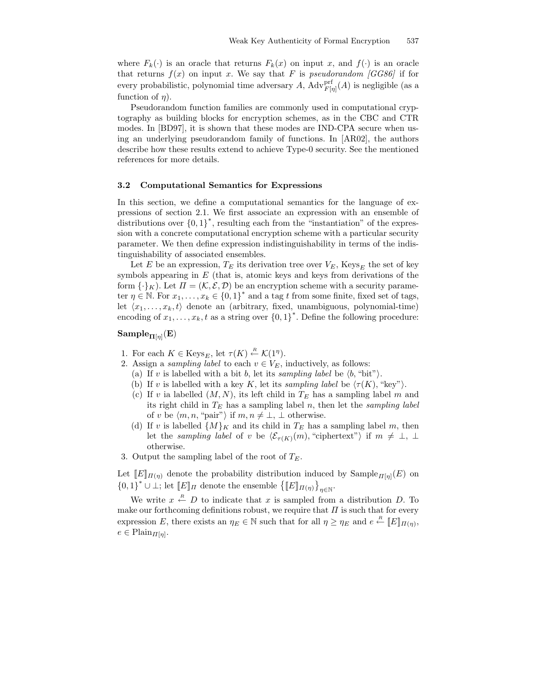where  $F_k(\cdot)$  is an oracle that returns  $F_k(x)$  on input x, and  $f(\cdot)$  is an oracle that returns  $f(x)$  on input x. We say that F is pseudorandom [GG86] if for every probabilistic, polynomial time adversary A,  $\mathrm{Adv}_{F[\eta]}^{\mathrm{prf}}(A)$  is negligible (as a function of  $\eta$ ).

Pseudorandom function families are commonly used in computational cryptography as building blocks for encryption schemes, as in the CBC and CTR modes. In [BD97], it is shown that these modes are IND-CPA secure when using an underlying pseudorandom family of functions. In [AR02], the authors describe how these results extend to achieve Type-0 security. See the mentioned references for more details.

#### 3.2 Computational Semantics for Expressions

In this section, we define a computational semantics for the language of expressions of section 2.1. We first associate an expression with an ensemble of distributions over  $\{0,1\}^*$ , resulting each from the "instantiation" of the expression with a concrete computational encryption scheme with a particular security parameter. We then define expression indistinguishability in terms of the indistinguishability of associated ensembles.

Let E be an expression,  $T_E$  its derivation tree over  $V_E$ , Keys<sub>E</sub> the set of key symbols appearing in  $E$  (that is, atomic keys and keys from derivations of the form  $\{\cdot\}_K$ ). Let  $\Pi = (\mathcal{K}, \mathcal{E}, \mathcal{D})$  be an encryption scheme with a security parameter  $\eta \in \mathbb{N}$ . For  $x_1, \ldots, x_k \in \{0,1\}^*$  and a tag t from some finite, fixed set of tags, let  $\langle x_1, \ldots, x_k, t \rangle$  denote an (arbitrary, fixed, unambiguous, polynomial-time) encoding of  $x_1, \ldots, x_k, t$  as a string over  $\{0,1\}^*$ . Define the following procedure:

## $\mathrm{Sample}_{\Pi[\eta]}(\mathrm{E})$

- 1. For each  $K \in \text{Keys}_E$ , let  $\tau(K) \stackrel{R}{\leftarrow} \mathcal{K}(1^{\eta})$ .
- 2. Assign a *sampling label* to each  $v \in V_E$ , inductively, as follows:
	- (a) If v is labelled with a bit b, let its sampling label be  $\langle b, \text{``bit''}\rangle$ .
	- (b) If v is labelled with a key K, let its sampling label be  $\langle \tau(K), "key"\rangle$ .
	- (c) If v ia labelled  $(M, N)$ , its left child in  $T_E$  has a sampling label m and its right child in  $T_E$  has a sampling label n, then let the sampling label of v be  $\langle m, n, "pair" \rangle$  if  $m, n \neq \bot, \bot$  otherwise.
	- (d) If v is labelled  $\{M\}_K$  and its child in  $T_E$  has a sampling label m, then let the sampling label of v be  $\langle \mathcal{E}_{\tau(K)}(m), "ciphertext"\rangle$  if  $m \neq \perp, \perp$ otherwise.
- 3. Output the sampling label of the root of  $T_E$ .

Let  $[[E]]_{\Pi(\eta)}$  denote the probability distribution induced by  $\text{Sample}_{\Pi[\eta]}(E)$  on  ${0,1}^* \cup \perp$ ; let  $[[E]]_T$  denote the ensemble  ${[[E]]_{T(\eta)}}_{\eta \in \mathbb{N}}$ .

We write  $x \stackrel{R}{\leftarrow} D$  to indicate that x is sampled from a distribution D. To make our forthcoming definitions robust, we require that  $\Pi$  is such that for every expression E, there exists an  $\eta_E \in \mathbb{N}$  such that for all  $\eta \geq \eta_E$  and  $e \stackrel{R}{\leftarrow} [E]_{\Pi(\eta)}$ ,  $e \in \text{Plain}_{\Pi[\eta]}.$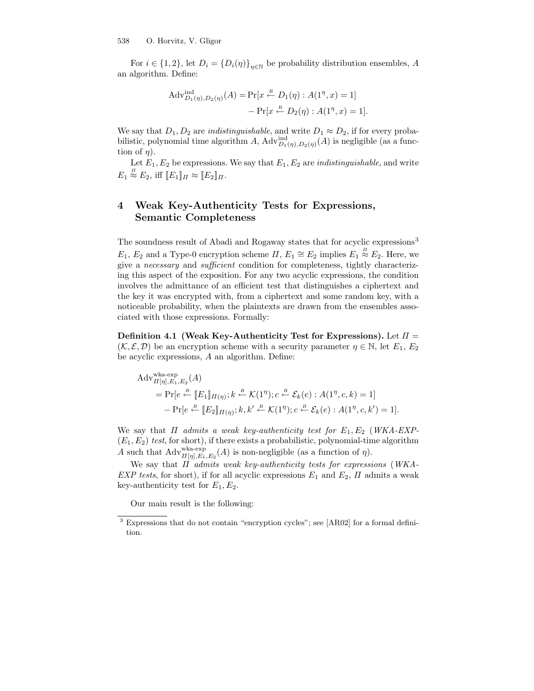For  $i \in \{1, 2\}$ , let  $D_i = \{D_i(\eta)\}_{\eta \in \mathbb{N}}$  be probability distribution ensembles, A an algorithm. Define:

$$
\begin{aligned} \text{Adv}_{D_1(\eta), D_2(\eta)}^{\text{ind}}(A) &= \Pr[x \stackrel{R}{\leftarrow} D_1(\eta) : A(1^\eta, x) = 1] \\ &- \Pr[x \stackrel{R}{\leftarrow} D_2(\eta) : A(1^\eta, x) = 1]. \end{aligned}
$$

We say that  $D_1, D_2$  are *indistinguishable*, and write  $D_1 \approx D_2$ , if for every probabilistic, polynomial time algorithm A,  $\mathrm{Adv}_{D_1(\eta),D_2(\eta)}^{ind}(A)$  is negligible (as a function of  $\eta$ ).

Let  $E_1, E_2$  be expressions. We say that  $E_1, E_2$  are *indistinguishable*, and write  $E_1 \stackrel{\pi}{\approx} E_2$ , iff  $[[E_1]]_{\Pi} \approx [[E_2]]_{\Pi}$ .

# 4 Weak Key-Authenticity Tests for Expressions, Semantic Completeness

The soundness result of Abadi and Rogaway states that for acyclic expressions<sup>3</sup>  $E_1, E_2$  and a Type-0 encryption scheme  $\Pi, E_1 \cong E_2$  implies  $E_1 \stackrel{\pi}{\approx} E_2$ . Here, we give a necessary and sufficient condition for completeness, tightly characterizing this aspect of the exposition. For any two acyclic expressions, the condition involves the admittance of an efficient test that distinguishes a ciphertext and the key it was encrypted with, from a ciphertext and some random key, with a noticeable probability, when the plaintexts are drawn from the ensembles associated with those expressions. Formally:

Definition 4.1 (Weak Key-Authenticity Test for Expressions). Let  $\Pi =$  $(\mathcal{K}, \mathcal{E}, \mathcal{D})$  be an encryption scheme with a security parameter  $\eta \in \mathbb{N}$ , let  $E_1, E_2$ be acyclic expressions, A an algorithm. Define:

Adv<sub>H[\eta], E\_1, E\_2</sub><sup>Wka-exp</sup>  
= Pr[e 
$$
\stackrel{R}{\leftarrow}
$$
 [E\_1] $\pi(\eta)$ ;  $k \stackrel{R}{\leftarrow}$  K(1 <sup>$\eta$</sup> );  $c \stackrel{R}{\leftarrow}$  E<sub>k</sub>(e) :  $A(1^{\eta}, c, k) = 1$ ]  
- Pr[e  $\stackrel{R}{\leftarrow}$  [E\_2] $\pi(\eta)$ ;  $k, k' \stackrel{R}{\leftarrow}$  K(1 <sup>$\eta$</sup> );  $c \stackrel{R}{\leftarrow}$  E<sub>k</sub>(e) :  $A(1^{\eta}, c, k') = 1$ ].

We say that  $\Pi$  admits a weak key-authenticity test for  $E_1, E_2$  (WKA-EXP- $(E_1, E_2)$  test, for short), if there exists a probabilistic, polynomial-time algorithm A such that  $\text{Adv}_{\Pi[\eta],E_1,E_2}^{\text{wka-exp}}(A)$  is non-negligible (as a function of  $\eta$ ).

We say that  $\Pi$  admits weak key-authenticity tests for expressions (WKA-EXP tests, for short), if for all acyclic expressions  $E_1$  and  $E_2$ ,  $\Pi$  admits a weak key-authenticity test for  $E_1, E_2$ .

Our main result is the following:

<sup>3</sup> Expressions that do not contain "encryption cycles"; see [AR02] for a formal definition.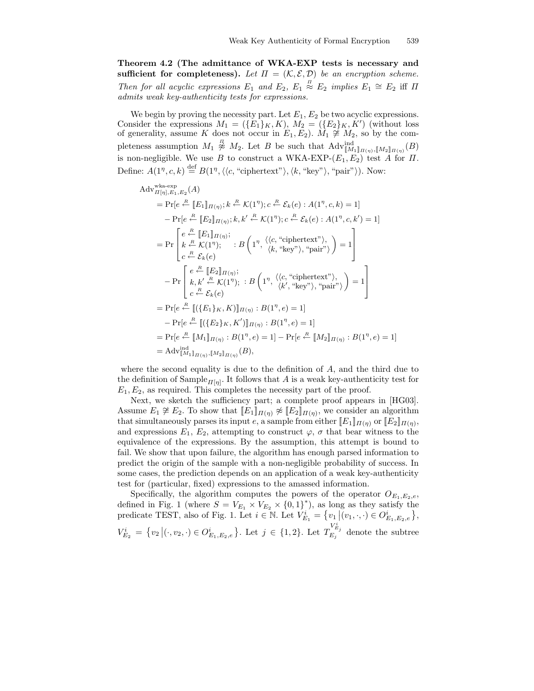Theorem 4.2 (The admittance of WKA-EXP tests is necessary and sufficient for completeness). Let  $\Pi = (\mathcal{K}, \mathcal{E}, \mathcal{D})$  be an encryption scheme. Then for all acyclic expressions  $E_1$  and  $E_2$ ,  $E_1 \stackrel{\pi}{\approx} E_2$  implies  $E_1 \cong E_2$  iff  $\Pi$ admits weak key-authenticity tests for expressions.

We begin by proving the necessity part. Let  $E_1, E_2$  be two acyclic expressions. Consider the expressions  $M_1 = (\{E_1\}_K, K), M_2 = (\{E_2\}_K, K')$  (without loss of generality, assume K does not occur in  $E_1, E_2$ ).  $M_1 \ncong M_2$ , so by the completeness assumption  $M_1 \overset{\pi}{\not\sim} M_2$ . Let B be such that  $\text{Adv}_{[M_1]_{\Pi(\eta)},[M_2]_{\Pi(\eta)}}^{\text{ind}}(B)$ is non-negligible. We use B to construct a WKA-EXP- $(E_1, E_2)$  test A for  $\Pi$ . Define:  $A(1^n, c, k) \stackrel{\text{def}}{=} B(1^n, \langle\langle c, \text{``ciphertext''}\rangle, \langle k, \text{``key''}\rangle, \text{``pair''}\rangle).$  Now:

Adv<sub>*II*[*η*], *E*<sub>1</sub>, *E*<sub>2</sub></sub>(*A*)  
\n= Pr[*e*<sup>*Æ*</sup> [*E*<sub>1</sub>]*π*(*η*); *k*<sup>*Æ*</sup> 
$$
K(1^{\eta})
$$
; *c*<sup>*Æ*</sup>  $\mathcal{E}_k(e)$  :  $A(1^{\eta}, c, k) = 1$ ]  
\n- Pr[*e*<sup>*Æ*</sup> [*E*<sub>2</sub>]*π*(*η*); *k*, *k'*<sup>*Æ*</sup>  $K(1^{\eta})$ ; *c*<sup>*Æ*</sup>  $\mathcal{E}_k(e)$  :  $A(1^{\eta}, c, k') = 1$ ]  
\n= Pr[*e*<sup>*Æ*</sup> [*E*<sub>1</sub>]*π*(*η*);  
\n= Pr[*k*<sup>*Æ*</sup>  $\mathcal{E}_k(e)$   
\n
$$
c \stackrel{\mathcal{E}}{=} \mathcal{E}_k(e)
$$
  
\n- Pr[*k*, *k'*<sup>*Æ*</sup>  $\mathcal{E}_k(1^{\eta})$ ; : *B* (1 <sup>$\eta$</sup> ,  $\langle \langle c, \text{``ciphertext''} \rangle$ ),  
\n- Pr[*k*, *k'*<sup>*Æ*</sup>  $\mathcal{E}_k(1^{\eta})$ ; : *B* (1 <sup>$\eta$</sup> ,  $\langle \langle c, \text{``ciphertext''} \rangle$ ),  
\n- Pr[*e*<sup>*Æ*</sup> [(*E*<sub>2</sub>]*π*(*η*); : *B* (1 <sup>$\eta$</sup> ,  $\langle \langle c, \text{``ciphertext''} \rangle$ ),  
\n- Pr[*e*<sup>*Æ*</sup> [(*{E*<sub>2</sub>]*κ*, *K*')]*π*(*η*) : <

where the second equality is due to the definition of A, and the third due to the definition of Sample<sub> $\Pi[\eta]$ </sub>. It follows that A is a weak key-authenticity test for  $E_1, E_2$ , as required. This completes the necessity part of the proof.

Next, we sketch the sufficiency part; a complete proof appears in [HG03]. Assume  $E_1 \not\cong E_2$ . To show that  $[[E_1]]_{\Pi(\eta)} \not\approx [[E_2]]_{\Pi(\eta)}$ , we consider an algorithm that simultaneously parses its input e, a sample from either  $[[E_1]]_{\Pi(\eta)}$  or  $[[E_2]]_{\Pi(\eta)}$ , and expressions  $E_1, E_2$ , attempting to construct  $\varphi$ ,  $\sigma$  that bear witness to the equivalence of the expressions. By the assumption, this attempt is bound to fail. We show that upon failure, the algorithm has enough parsed information to predict the origin of the sample with a non-negligible probability of success. In some cases, the prediction depends on an application of a weak key-authenticity test for (particular, fixed) expressions to the amassed information.

Specifically, the algorithm computes the powers of the operator  $O_{E_1,E_2,e}$ , defined in Fig. 1 (where  $S = V_{E_1} \times V_{E_2} \times \{0,1\}^*$ ), as long as they satisfy the predicate TEST, also of Fig. 1. Let  $i \in \mathbb{N}$ . Let  $V_{E_1}^i = \{v_1 | (v_1, \cdot, \cdot) \in O_{E_1, E_2, e}^i\}$ ,  $V_{E_2}^i = \{v_2 | (\cdot, v_2, \cdot) \in O_{E_1, E_2, e}^i\}$ . Let  $j \in \{1, 2\}$ . Let  $T_{E_j}^{V_{E_j}^i}$  denote the subtree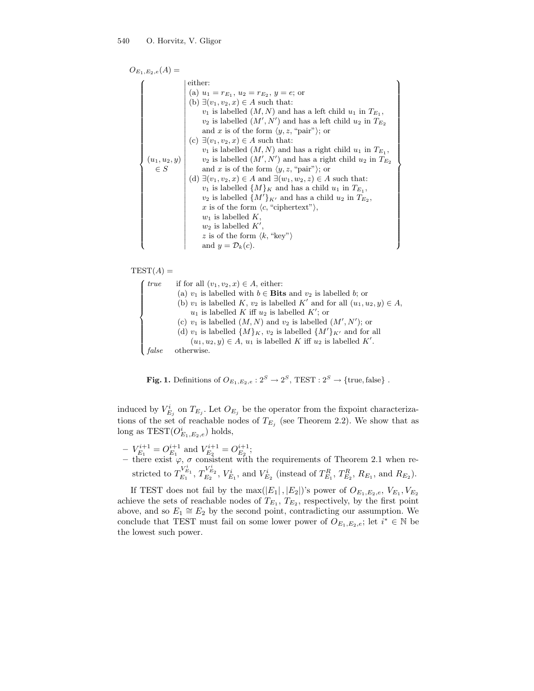$$
O_{E_1,E_2,e}(A) =
$$
\n
$$
\begin{pmatrix}\n\text{either:} \\
\text{(a) } u_1 = r_{E_1}, u_2 = r_{E_2}, y = e; \text{ or} \\
\text{(b) } \exists (v_1, v_2, x) \in A \text{ such that:} \\
v_1 \text{ is labelled } (M, N) \text{ and has a left child } u_1 \text{ in } T_{E_1}, \\
v_2 \text{ is labelled } (M', N') \text{ and has a left child } u_2 \text{ in } T_{E_2} \\
\text{ and } x \text{ is of the form } \langle y, z, \text{ "pair"} \rangle; \text{ or} \\
\text{(c) } \exists (v_1, v_2, x) \in A \text{ such that:} \\
v_1 \text{ is labelled } (M, N) \text{ and has a right child } u_1 \text{ in } T_{E_1}, \\
v_2 \text{ is labelled } (M', N') \text{ and has a right child } u_2 \text{ in } T_{E_2} \\
\in S \qquad \text{and } x \text{ is of the form } \langle y, z, \text{ "pair"} \rangle; \text{ or} \\
\text{(d) } \exists (v_1, v_2, x) \in A \text{ and } \exists (w_1, w_2, z) \in A \text{ such that:} \\
v_1 \text{ is labelled } \{M\}_K \text{ and has a child } u_1 \text{ in } T_{E_1}, \\
v_2 \text{ is labelled } \{M'\}_K \text{ and has a child } u_2 \text{ in } T_{E_2}, \\
x \text{ is of the form } \langle c, \text{ "ciphertext"} \rangle, \\
w_1 \text{ is labelled } K, \\
w_2 \text{ is labelled } K', \\
z \text{ is of the form } \langle k, \text{ "key"} \rangle \\
\text{ and } y = \mathcal{D}_k(c).\n\end{pmatrix}
$$

 $\mathcal{L}$ 

 $\begin{picture}(20,20) \put(0,0){\line(1,0){10}} \put(10,0){\line(1,0){10}} \put(10,0){\line(1,0){10}} \put(10,0){\line(1,0){10}} \put(10,0){\line(1,0){10}} \put(10,0){\line(1,0){10}} \put(10,0){\line(1,0){10}} \put(10,0){\line(1,0){10}} \put(10,0){\line(1,0){10}} \put(10,0){\line(1,0){10}} \put(10,0){\line(1,0){10}} \put(10,0){\line(1$ 

 $TEST(A) =$ 

```
\n
$$
\begin{cases}\n \text{true} & \text{if for all } (v_1, v_2, x) \in A \text{, either:} \\
 \text{(a) } v_1 \text{ is labelled with } b \in \text{Bits and } v_2 \text{ is labelled } b \text{; or} \\
 \text{(b) } v_1 \text{ is labelled } K \text{, } v_2 \text{ is labelled } K' \text{ and for all } (u_1, u_2, y) \in A \text{,} \\
 u_1 \text{ is labelled } K \text{ iff } u_2 \text{ is labelled } K'; \text{ or} \\
 \text{(c) } v_1 \text{ is labelled } (M, N) \text{ and } v_2 \text{ is labelled } (M', N') \text{; or} \\
 \text{(d) } v_1 \text{ is labelled } \{M\}_{K}, v_2 \text{ is labelled } \{M'\}_{K'} \text{ and for all} \\
 u_1, u_2, y) \in A \text{, } u_1 \text{ is labelled } K \text{ iff } u_2 \text{ is labelled } K'.\n \end{cases}
$$
\n
$$
\text{false} \quad \text{otherwise.}
$$

```

**Fig. 1.** Definitions of  $O_{E_1,E_2,e}: 2^S \rightarrow 2^S$ , TEST :  $2^S \rightarrow \{\text{true}, \text{false}\}\$ .

induced by  $V_{E_j}^i$  on  $T_{E_j}$ . Let  $O_{E_j}$  be the operator from the fixpoint characterizations of the set of reachable nodes of  $T_{E_j}$  (see Theorem 2.2). We show that as long as  $TEST(O_{E_1,E_2,e}^i)$  holds,

 $-V_{E_1}^{i+1} = O_{E_1}^{i+1}$  and  $V_{E_2}^{i+1} = O_{E_2}^{i+1}$ ; – there exist  $\varphi$ ,  $\sigma$  consistent with the requirements of Theorem 2.1 when restricted to  $T_{E_1}^{V_{E_1}^i}$ ,  $T_{E_2}^{V_{E_2}^i}$ ,  $V_{E_1}^i$ , and  $V_{E_2}^i$  (instead of  $T_{E_1}^R$ ,  $T_{E_2}^R$ ,  $R_{E_1}$ , and  $R_{E_2}$ ).

If TEST does not fail by the max( $|E_1|$ ,  $|E_2|$ )'s power of  $O_{E_1,E_2,e}, V_{E_1}, V_{E_2}$ achieve the sets of reachable nodes of  $T_{E_1}$ ,  $T_{E_2}$ , respectively, by the first point above, and so  $E_1 \cong E_2$  by the second point, contradicting our assumption. We conclude that TEST must fail on some lower power of  $O_{E_1,E_2,e}$ ; let  $i^* \in \mathbb{N}$  be the lowest such power.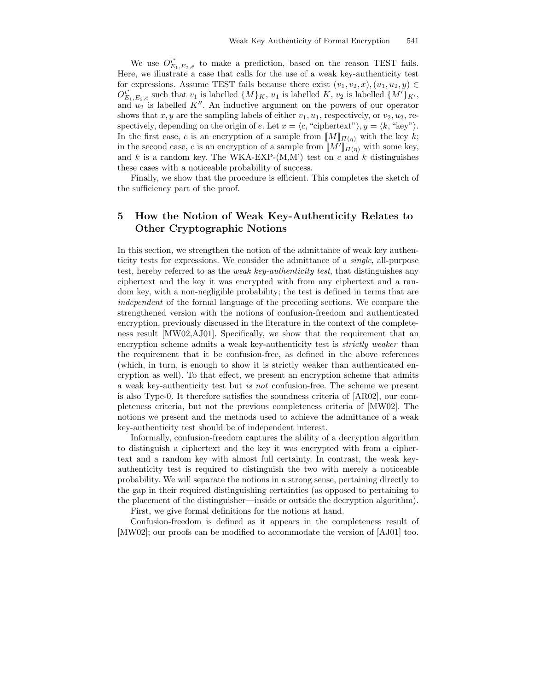We use  $O_{E_1,E_2,e}^{i^*}$  to make a prediction, based on the reason TEST fails. Here, we illustrate a case that calls for the use of a weak key-authenticity test for expressions. Assume TEST fails because there exist  $(v_1, v_2, x), (u_1, u_2, y) \in$  $O_{E_1,E_2,e}^{i^*}$  such that  $v_1$  is labelled  $\{M\}_K$ ,  $u_1$  is labelled  $K$ ,  $v_2$  is labelled  $\{M'\}_{K'}$ , and  $u_2$  is labelled K''. An inductive argument on the powers of our operator shows that x, y are the sampling labels of either  $v_1, u_1$ , respectively, or  $v_2, u_2$ , respectively, depending on the origin of e. Let  $x = \langle c, "ciphertext"\rangle, y = \langle k, "key"\rangle$ . In the first case, c is an encryption of a sample from  $[M]_{\Pi(\eta)}$  with the key k; in the second case, c is an encryption of a sample from  $[M']_{\Pi(\eta)}$  with some key, and k is a random key. The WKA-EXP- $(M, M')$  test on c and k distinguishes these cases with a noticeable probability of success.

Finally, we show that the procedure is efficient. This completes the sketch of the sufficiency part of the proof.

# 5 How the Notion of Weak Key-Authenticity Relates to Other Cryptographic Notions

In this section, we strengthen the notion of the admittance of weak key authenticity tests for expressions. We consider the admittance of a single, all-purpose test, hereby referred to as the weak key-authenticity test, that distinguishes any ciphertext and the key it was encrypted with from any ciphertext and a random key, with a non-negligible probability; the test is defined in terms that are independent of the formal language of the preceding sections. We compare the strengthened version with the notions of confusion-freedom and authenticated encryption, previously discussed in the literature in the context of the completeness result [MW02,AJ01]. Specifically, we show that the requirement that an encryption scheme admits a weak key-authenticity test is *strictly weaker* than the requirement that it be confusion-free, as defined in the above references (which, in turn, is enough to show it is strictly weaker than authenticated encryption as well). To that effect, we present an encryption scheme that admits a weak key-authenticity test but is not confusion-free. The scheme we present is also Type-0. It therefore satisfies the soundness criteria of [AR02], our completeness criteria, but not the previous completeness criteria of [MW02]. The notions we present and the methods used to achieve the admittance of a weak key-authenticity test should be of independent interest.

Informally, confusion-freedom captures the ability of a decryption algorithm to distinguish a ciphertext and the key it was encrypted with from a ciphertext and a random key with almost full certainty. In contrast, the weak keyauthenticity test is required to distinguish the two with merely a noticeable probability. We will separate the notions in a strong sense, pertaining directly to the gap in their required distinguishing certainties (as opposed to pertaining to the placement of the distinguisher—inside or outside the decryption algorithm).

First, we give formal definitions for the notions at hand.

Confusion-freedom is defined as it appears in the completeness result of [MW02]; our proofs can be modified to accommodate the version of [AJ01] too.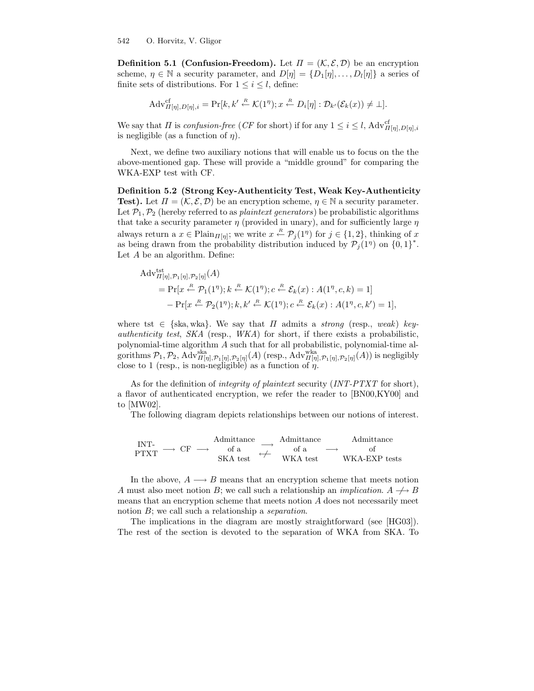**Definition 5.1 (Confusion-Freedom).** Let  $\Pi = (\mathcal{K}, \mathcal{E}, \mathcal{D})$  be an encryption scheme,  $\eta \in \mathbb{N}$  a security parameter, and  $D[\eta] = \{D_1[\eta], \ldots, D_l[\eta]\}\$  a series of finite sets of distributions. For  $1 \leq i \leq l$ , define:

$$
Adv_{\Pi[\eta], D[\eta], i}^{\mathrm{cf}} = \Pr[k, k' \stackrel{\textit{R}}{\leftarrow} \mathcal{K}(1^{\eta}); x \stackrel{\textit{R}}{\leftarrow} D_i[\eta] : \mathcal{D}_{k'}(\mathcal{E}_k(x)) \neq \bot].
$$

We say that  $\Pi$  is confusion-free (CF for short) if for any  $1 \leq i \leq l$ ,  $\text{Adv}_{\Pi[\eta], D[\eta], i}^{\text{cf}}$ is negligible (as a function of  $\eta$ ).

Next, we define two auxiliary notions that will enable us to focus on the the above-mentioned gap. These will provide a "middle ground" for comparing the WKA-EXP test with CF.

Definition 5.2 (Strong Key-Authenticity Test, Weak Key-Authenticity **Test).** Let  $\Pi = (\mathcal{K}, \mathcal{E}, \mathcal{D})$  be an encryption scheme,  $\eta \in \mathbb{N}$  a security parameter. Let  $\mathcal{P}_1, \mathcal{P}_2$  (hereby referred to as *plaintext generators*) be probabilistic algorithms that take a security parameter  $\eta$  (provided in unary), and for sufficiently large  $\eta$ always return a  $x \in \text{Plain}_{\Pi[\eta]}$ ; we write  $x \stackrel{R}{\leftarrow} \mathcal{P}_j(1^\eta)$  for  $j \in \{1, 2\}$ , thinking of x as being drawn from the probability distribution induced by  $\mathcal{P}_j(1^n)$  on  $\{0,1\}^*$ . Let A be an algorithm. Define:

$$
Adv_{\Pi[\eta], \mathcal{P}_1[\eta], \mathcal{P}_2[\eta]}^{tst}(A)
$$
  
= Pr[x  $\stackrel{R}{\leftarrow}$   $\mathcal{P}_1(1^{\eta}); k \stackrel{R}{\leftarrow}$   $\mathcal{K}(1^{\eta}); c \stackrel{R}{\leftarrow}$   $\mathcal{E}_k(x) : A(1^{\eta}, c, k) = 1$ ]  
- Pr[x  $\stackrel{R}{\leftarrow}$   $\mathcal{P}_2(1^{\eta}); k, k' \stackrel{R}{\leftarrow}$   $\mathcal{K}(1^{\eta}); c \stackrel{R}{\leftarrow}$   $\mathcal{E}_k(x) : A(1^{\eta}, c, k') = 1$ ],

where tst  $\in$  {ska, wka}. We say that  $\Pi$  admits a *strong* (resp., weak) key*authenticity test, SKA* (resp.,  $WKA$ ) for short, if there exists a probabilistic, polynomial-time algorithm A such that for all probabilistic, polynomial-time algorithms  $\mathcal{P}_1, \mathcal{P}_2$ ,  $\mathrm{Adv}_{\Pi[\eta], \mathcal{P}_1[\eta], \mathcal{P}_2[\eta]}^{ska}(A)$  (resp.,  $\mathrm{Adv}_{\Pi[\eta], \mathcal{P}_1[\eta], \mathcal{P}_2[\eta]}^{wka}(A)$ ) is negligibly close to 1 (resp., is non-negligible) as a function of  $\eta$ .

As for the definition of *integrity of plaintext* security (INT-PTXT for short), a flavor of authenticated encryption, we refer the reader to [BN00,KY00] and to [MW02].

The following diagram depicts relationships between our notions of interest.

$$
\begin{array}{ccc}\n\text{INT-} & \text{Admittance} & \xrightarrow{\text{Admittance}} & \text{Admittance} \\
\text{PTXT} & \longrightarrow & \text{CF} & \longrightarrow & \text{of a} & \longrightarrow & \text{of} \\
\text{SKA test} & \n\end{array}
$$

In the above,  $A \longrightarrow B$  means that an encryption scheme that meets notion A must also meet notion B; we call such a relationship an *implication*.  $A \rightarrow B$ means that an encryption scheme that meets notion A does not necessarily meet notion B; we call such a relationship a *separation*.

The implications in the diagram are mostly straightforward (see [HG03]). The rest of the section is devoted to the separation of WKA from SKA. To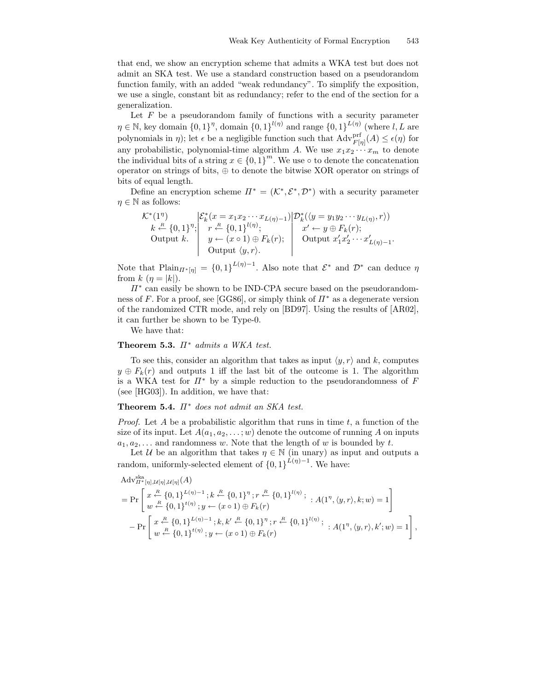that end, we show an encryption scheme that admits a WKA test but does not admit an SKA test. We use a standard construction based on a pseudorandom function family, with an added "weak redundancy". To simplify the exposition, we use a single, constant bit as redundancy; refer to the end of the section for a generalization.

Let  $F$  be a pseudorandom family of functions with a security parameter  $\eta \in \mathbb{N}$ , key domain  $\{0,1\}^{\eta}$ , domain  $\{0,1\}^{l(\eta)}$  and range  $\{0,1\}^{L(\eta)}$  (where  $l,L$  are polynomials in  $\eta$ ); let  $\epsilon$  be a negligible function such that  $\text{Adv}_{F[\eta]}^{\text{prf}}(A) \leq \epsilon(\eta)$  for any probabilistic, polynomial-time algorithm A. We use  $x_1x_2 \cdots x_m$  to denote the individual bits of a string  $x \in \{0,1\}^m$ . We use  $\circ$  to denote the concatenation operator on strings of bits,  $\oplus$  to denote the bitwise XOR operator on strings of bits of equal length.

Define an encryption scheme  $\Pi^* = (\mathcal{K}^*, \mathcal{E}^*, \mathcal{D}^*)$  with a security parameter  $\eta \in \mathbb{N}$  as follows:

$$
\mathcal{K}^*(1^{\eta})\n k \stackrel{k}{\leftarrow} \{0,1\}^{\eta};\n \begin{cases}\n \mathcal{E}_k^*(x = x_1 x_2 \cdots x_{L(\eta)-1})\n \left| \begin{array}{c}\n \mathcal{D}_k^*(\langle y = y_1 y_2 \cdots y_{L(\eta)}, r \rangle) \\
 \varphi \leftarrow (x \circ 1)\n \end{array} \right|\n \begin{array}{c}\n \mathcal{D}_k^*(\langle y = y_1 y_2 \cdots y_{L(\eta)}, r \rangle) \\
 \mathcal{D}_k^*(\langle y = y_1 y_2 \cdots y_{L(\eta)}, r \rangle) \\
 \mathcal{D}_k^*(\langle y = y_1 y_2 \cdots y_{L(\eta)}, r \rangle)\n \end{array}\n \begin{cases}\n \mathcal{D}_k^*(\langle y = y_1 y_2 \cdots y_{L(\eta)}, r \rangle) \\
 \mathcal{D}_k^*(\langle y = y_1 y_2 \cdots y_{L(\eta)}, r \rangle)\n \end{cases}
$$

Note that  $\text{Plain}_{\Pi^*[\eta]} = \{0,1\}^{L(\eta)-1}$ . Also note that  $\mathcal{E}^*$  and  $\mathcal{D}^*$  can deduce  $\eta$ from  $k(\eta = |k|)$ .

 $\Pi^*$  can easily be shown to be IND-CPA secure based on the pseudorandomness of F. For a proof, see [GG86], or simply think of  $\Pi^*$  as a degenerate version of the randomized CTR mode, and rely on [BD97]. Using the results of [AR02], it can further be shown to be Type-0.

We have that:

#### Theorem 5.3.  $\Pi^*$  admits a WKA test.

To see this, consider an algorithm that takes as input  $\langle y, r \rangle$  and k, computes  $y \oplus F_k(r)$  and outputs 1 iff the last bit of the outcome is 1. The algorithm is a WKA test for  $\Pi^*$  by a simple reduction to the pseudorandomness of F (see [HG03]). In addition, we have that:

Theorem 5.4.  $\Pi^*$  does not admit an SKA test.

*Proof.* Let A be a probabilistic algorithm that runs in time  $t$ , a function of the size of its input. Let  $A(a_1, a_2, \ldots; w)$  denote the outcome of running A on inputs  $a_1, a_2, \ldots$  and randomness w. Note that the length of w is bounded by t.

Let U be an algorithm that takes  $\eta \in \mathbb{N}$  (in unary) as input and outputs a random, uniformly-selected element of  ${0,1}^{L(\eta)-1}$ . We have:

$$
Adv_{\Pi^*[\eta],\mathcal{U}[\eta],\mathcal{U}[\eta]}^{ska}(\Lambda)
$$
\n
$$
= \Pr \left[ x \stackrel{R}{\leftarrow} \{0,1\}^{L(\eta)-1} ; k \stackrel{R}{\leftarrow} \{0,1\}^{\eta} ; r \stackrel{R}{\leftarrow} \{0,1\}^{l(\eta)}; \right. ; A(1^{\eta}, \langle y, r \rangle, k; w) = 1 \right] - \Pr \left[ x \stackrel{R}{\leftarrow} \{0,1\}^{L(\eta)} ; y \leftarrow (x \circ 1) \oplus F_k(r) \right. \\
\left. - \Pr \left[ x \stackrel{R}{\leftarrow} \{0,1\}^{L(\eta)-1} ; k, k' \stackrel{R}{\leftarrow} \{0,1\}^{\eta} ; r \stackrel{R}{\leftarrow} \{0,1\}^{l(\eta)}; \right. ; A(1^{\eta}, \langle y, r \rangle, k'; w) = 1 \right] \right. \right]
$$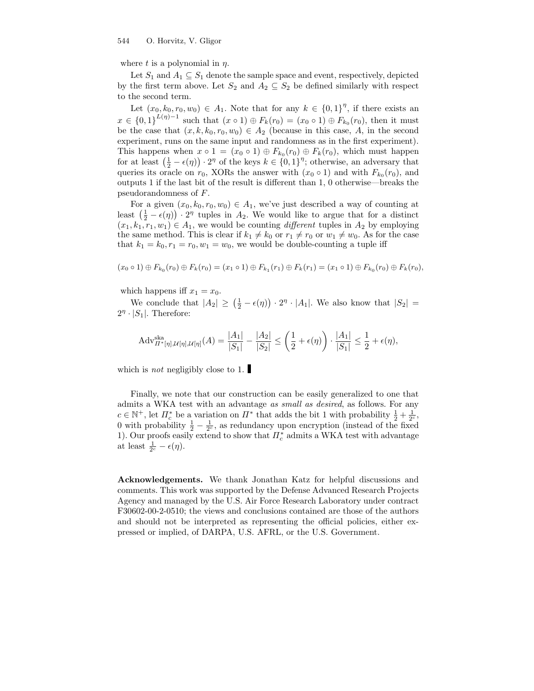where t is a polynomial in  $\eta$ .

Let  $S_1$  and  $A_1 \subseteq S_1$  denote the sample space and event, respectively, depicted by the first term above. Let  $S_2$  and  $A_2 \subseteq S_2$  be defined similarly with respect to the second term.

Let  $(x_0, k_0, r_0, w_0) \in A_1$ . Note that for any  $k \in \{0, 1\}^{\eta}$ , if there exists an  $x \in \{0,1\}^{L(\eta)-1}$  such that  $(x \circ 1) \oplus F_k(r_0) = (x_0 \circ 1) \oplus F_{k_0}(r_0)$ , then it must be the case that  $(x, k, k_0, r_0, w_0) \in A_2$  (because in this case, A, in the second experiment, runs on the same input and randomness as in the first experiment). This happens when  $x \circ 1 = (x_0 \circ 1) \oplus F_{k_0}(r_0) \oplus F_k(r_0)$ , which must happen for at least  $(\frac{1}{2} - \epsilon(\eta)) \cdot 2^{\eta}$  of the keys  $k \in \{0,1\}^{\eta}$ ; otherwise, an adversary that queries its oracle on  $r_0$ , XORs the answer with  $(x_0 \circ 1)$  and with  $F_{k_0}(r_0)$ , and outputs 1 if the last bit of the result is different than 1, 0 otherwise—breaks the pseudorandomness of F.

For a given  $(x_0, k_0, r_0, w_0) \in A_1$ , we've just described a way of counting at least  $\left(\frac{1}{2} - \epsilon(\eta)\right) \cdot 2^{\eta}$  tuples in  $A_2$ . We would like to argue that for a distinct  $(x_1, k_1, r_1, w_1) \in A_1$ , we would be counting *different* tuples in  $A_2$  by employing the same method. This is clear if  $k_1 \neq k_0$  or  $r_1 \neq r_0$  or  $w_1 \neq w_0$ . As for the case that  $k_1 = k_0, r_1 = r_0, w_1 = w_0$ , we would be double-counting a tuple iff

$$
(x_0 \circ 1) \oplus F_{k_0}(r_0) \oplus F_k(r_0) = (x_1 \circ 1) \oplus F_{k_1}(r_1) \oplus F_k(r_1) = (x_1 \circ 1) \oplus F_{k_0}(r_0) \oplus F_k(r_0),
$$

which happens iff  $x_1 = x_0$ .

We conclude that  $|A_2| \geq (\frac{1}{2} - \epsilon(\eta)) \cdot 2^{\eta} \cdot |A_1|$ . We also know that  $|S_2|$  =  $2^{\eta} \cdot |S_1|$ . Therefore:

$$
Adv_{\Pi^*[\eta],\mathcal{U}[\eta],\mathcal{U}[\eta]}^{\text{ska}}(A) = \frac{|A_1|}{|S_1|} - \frac{|A_2|}{|S_2|} \le \left(\frac{1}{2} + \epsilon(\eta)\right) \cdot \frac{|A_1|}{|S_1|} \le \frac{1}{2} + \epsilon(\eta),
$$

which is *not* negligibly close to 1.

Finally, we note that our construction can be easily generalized to one that admits a WKA test with an advantage as small as desired, as follows. For any  $c \in \mathbb{N}^+$ , let  $\Pi_c^*$  be a variation on  $\Pi^*$  that adds the bit 1 with probability  $\frac{1}{2} + \frac{1}{2^c}$ , 0 with probability  $\frac{1}{2} - \frac{1}{2^c}$ , as redundancy upon encryption (instead of the fixed 1). Our proofs easily extend to show that  $\Pi_c^*$  admits a WKA test with advantage at least  $\frac{1}{2^c} - \epsilon(\eta)$ .

Acknowledgements. We thank Jonathan Katz for helpful discussions and comments. This work was supported by the Defense Advanced Research Projects Agency and managed by the U.S. Air Force Research Laboratory under contract F30602-00-2-0510; the views and conclusions contained are those of the authors and should not be interpreted as representing the official policies, either expressed or implied, of DARPA, U.S. AFRL, or the U.S. Government.